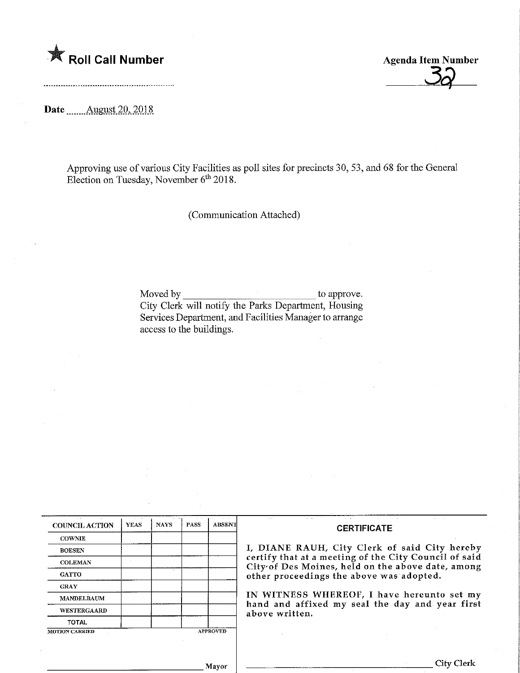

Date ........August 2Q,.2018.



Approving use of various City Facilities as poll sites for precincts 30, 53, and 68 for the General Election on Tuesday, November 6<sup>th</sup> 2018.

(Communication Attached)

Moved by to approve. City Clerk will notify the Parks Department, Housing Services Department, and Facilities Manager to arrange access to the buildings.

| <b>COUNCIL ACTION</b> | <b>YEAS</b> | <b>NAYS</b> | <b>PASS</b>     | <b>ABSENT</b> |
|-----------------------|-------------|-------------|-----------------|---------------|
| <b>COWNIE</b>         |             |             |                 |               |
| <b>BOESEN</b>         |             |             |                 |               |
| <b>COLEMAN</b>        | à.          |             |                 |               |
| <b>GATTO</b>          |             |             |                 |               |
| <b>GRAY</b>           |             |             |                 |               |
| <b>MANDELBAUM</b>     |             |             |                 |               |
| WESTERGAARD           |             |             |                 |               |
| <b>TOTAL</b>          |             |             |                 |               |
| <b>MOTION CARRIED</b> |             |             | <b>APPROVED</b> |               |

## **CERTIFICATE**

I, DIANE RAUH, City Clerk of said City hereby certify that at a meeting of the City Council of said City of Des Moines, held on the above date, among other proceedings the above was adopted.

IN WITNESS WHEREOF, I have hereunto set my hand and affixed my seal the day and year first above written.

Mayor

City Clerk